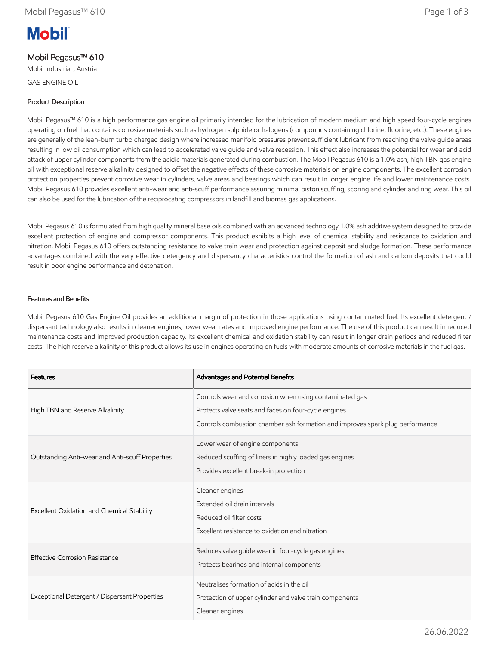# **Mobil**

## Mobil Pegasus™ 610

Mobil Industrial , Austria GAS ENGINE OIL

## Product Description

Mobil Pegasus™ 610 is a high performance gas engine oil primarily intended for the lubrication of modern medium and high speed four-cycle engines operating on fuel that contains corrosive materials such as hydrogen sulphide or halogens (compounds containing chlorine, fluorine, etc.). These engines are generally of the lean-burn turbo charged design where increased manifold pressures prevent sufficient lubricant from reaching the valve guide areas resulting in low oil consumption which can lead to accelerated valve guide and valve recession. This effect also increases the potential for wear and acid attack of upper cylinder components from the acidic materials generated during combustion. The Mobil Pegasus 610 is a 1.0% ash, high TBN gas engine oil with exceptional reserve alkalinity designed to offset the negative effects of these corrosive materials on engine components. The excellent corrosion protection properties prevent corrosive wear in cylinders, valve areas and bearings which can result in longer engine life and lower maintenance costs. Mobil Pegasus 610 provides excellent anti-wear and anti-scuff performance assuring minimal piston scuffing, scoring and cylinder and ring wear. This oil can also be used for the lubrication of the reciprocating compressors in landfill and biomas gas applications.

Mobil Pegasus 610 is formulated from high quality mineral base oils combined with an advanced technology 1.0% ash additive system designed to provide excellent protection of engine and compressor components. This product exhibits a high level of chemical stability and resistance to oxidation and nitration. Mobil Pegasus 610 offers outstanding resistance to valve train wear and protection against deposit and sludge formation. These performance advantages combined with the very effective detergency and dispersancy characteristics control the formation of ash and carbon deposits that could result in poor engine performance and detonation.

#### Features and Benefits

Mobil Pegasus 610 Gas Engine Oil provides an additional margin of protection in those applications using contaminated fuel. Its excellent detergent / dispersant technology also results in cleaner engines, lower wear rates and improved engine performance. The use of this product can result in reduced maintenance costs and improved production capacity. Its excellent chemical and oxidation stability can result in longer drain periods and reduced filter costs. The high reserve alkalinity of this product allows its use in engines operating on fuels with moderate amounts of corrosive materials in the fuel gas.

| <b>Features</b>                                 | Advantages and Potential Benefits                                                                                                                                                                |
|-------------------------------------------------|--------------------------------------------------------------------------------------------------------------------------------------------------------------------------------------------------|
| High TBN and Reserve Alkalinity                 | Controls wear and corrosion when using contaminated gas<br>Protects valve seats and faces on four-cycle engines<br>Controls combustion chamber ash formation and improves spark plug performance |
| Outstanding Anti-wear and Anti-scuff Properties | Lower wear of engine components<br>Reduced scuffing of liners in highly loaded gas engines<br>Provides excellent break-in protection                                                             |
| Excellent Oxidation and Chemical Stability      | Cleaner engines<br>Extended oil drain intervals<br>Reduced oil filter costs<br>Excellent resistance to oxidation and nitration                                                                   |
| <b>Effective Corrosion Resistance</b>           | Reduces valve guide wear in four-cycle gas engines<br>Protects bearings and internal components                                                                                                  |
| Exceptional Detergent / Dispersant Properties   | Neutralises formation of acids in the oil<br>Protection of upper cylinder and valve train components<br>Cleaner engines                                                                          |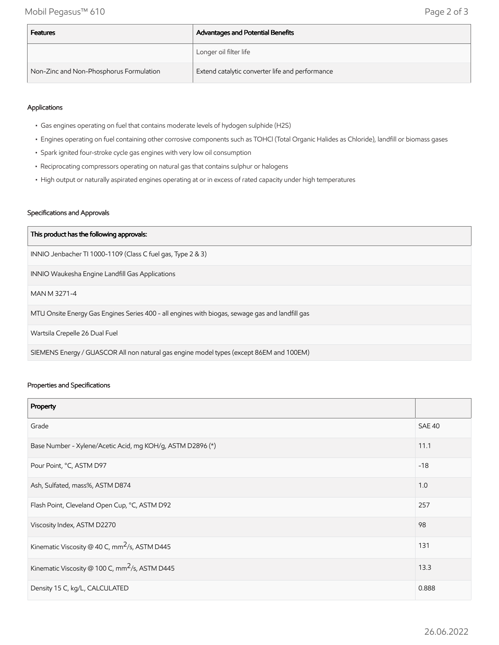Mobil Pegasus™ 610 Page 2 of 3

| Features                                | Advantages and Potential Benefits               |
|-----------------------------------------|-------------------------------------------------|
|                                         | Longer oil filter life                          |
| Non-Zinc and Non-Phosphorus Formulation | Extend catalytic converter life and performance |

#### Applications

- Gas engines operating on fuel that contains moderate levels of hydogen sulphide (H2S)
- Engines operating on fuel containing other corrosive components such as TOHCl (Total Organic Halides as Chloride), landfill or biomass gases
- Spark ignited four-stroke cycle gas engines with very low oil consumption
- Reciprocating compressors operating on natural gas that contains sulphur or halogens
- High output or naturally aspirated engines operating at or in excess of rated capacity under high temperatures

#### Specifications and Approvals

| This product has the following approvals:                                                       |  |
|-------------------------------------------------------------------------------------------------|--|
| INNIO Jenbacher TI 1000-1109 (Class C fuel gas, Type 2 & 3)                                     |  |
| INNIO Waukesha Engine Landfill Gas Applications                                                 |  |
| MAN M 3271-4                                                                                    |  |
| MTU Onsite Energy Gas Engines Series 400 - all engines with biogas, sewage gas and landfill gas |  |
| Wartsila Crepelle 26 Dual Fuel                                                                  |  |
| SIEMENS Energy / GUASCOR All non natural gas engine model types (except 86EM and 100EM)         |  |

#### Properties and Specifications

| Property                                                   |               |
|------------------------------------------------------------|---------------|
| Grade                                                      | <b>SAE 40</b> |
| Base Number - Xylene/Acetic Acid, mg KOH/g, ASTM D2896 (*) | 11.1          |
| Pour Point, °C, ASTM D97                                   | $-18$         |
| Ash, Sulfated, mass%, ASTM D874                            | 1.0           |
| Flash Point, Cleveland Open Cup, °C, ASTM D92              | 257           |
| Viscosity Index, ASTM D2270                                | 98            |
| Kinematic Viscosity @ 40 C, mm <sup>2</sup> /s, ASTM D445  | 131           |
| Kinematic Viscosity @ 100 C, mm <sup>2</sup> /s, ASTM D445 | 13.3          |
| Density 15 C, kg/L, CALCULATED                             | 0.888         |